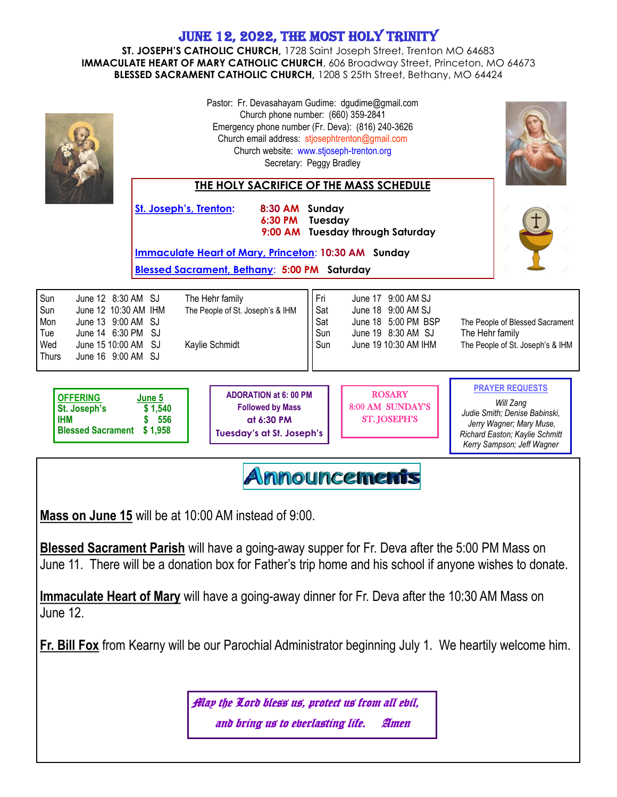## June 12, 2022, the most holy trinity

**ST. JOSEPH'S CATHOLIC CHURCH,** 1728 Saint Joseph Street, Trenton MO 64683 **IMMACULATE HEART OF MARY CATHOLIC CHURCH**, 606 Broadway Street, Princeton, MO 64673 **BLESSED SACRAMENT CATHOLIC CHURCH,** 1208 S 25th Street, Bethany, MO 64424

|                                                                                                                                                                                                                 | Pastor: Fr. Devasahayam Gudime: dgudime@gmail.com<br>Church phone number: (660) 359-2841<br>Emergency phone number (Fr. Deva): (816) 240-3626<br>Church email address: stjosephtrenton@gmail.com<br>Church website: www.stjoseph-trenton.org<br>Secretary: Peggy Bradley<br><b>THE HOLY SACRIFICE OF THE MASS SCHEDULE</b> |                                                                                                             |                                 |                                                                                                               |                                                                                                                                                                  |  |
|-----------------------------------------------------------------------------------------------------------------------------------------------------------------------------------------------------------------|----------------------------------------------------------------------------------------------------------------------------------------------------------------------------------------------------------------------------------------------------------------------------------------------------------------------------|-------------------------------------------------------------------------------------------------------------|---------------------------------|---------------------------------------------------------------------------------------------------------------|------------------------------------------------------------------------------------------------------------------------------------------------------------------|--|
|                                                                                                                                                                                                                 | St. Joseph's, Trenton:                                                                                                                                                                                                                                                                                                     | 8:30 AM Sunday<br>6:30 PM                                                                                   | Tuesday                         | 9:00 AM Tuesday through Saturday                                                                              |                                                                                                                                                                  |  |
|                                                                                                                                                                                                                 |                                                                                                                                                                                                                                                                                                                            | <b>Immaculate Heart of Mary, Princeton: 10:30 AM Sunday</b><br>Blessed Sacrament, Bethany: 5:00 PM Saturday |                                 |                                                                                                               |                                                                                                                                                                  |  |
| Sun<br>June 12 8:30 AM SJ<br>Sun<br>June 12 10:30 AM IHM<br>Mon<br>June 13 9:00 AM SJ<br>June 14 6:30 PM SJ<br>Tue<br>Wed<br>June 15 10:00 AM SJ<br>June 16 9:00 AM SJ<br><b>Thurs</b>                          |                                                                                                                                                                                                                                                                                                                            | The Hehr family<br>The People of St. Joseph's & IHM<br>Kaylie Schmidt                                       | Fri<br>Sat<br>Sat<br>Sun<br>Sun | June 17 9:00 AM SJ<br>June 18 9:00 AM SJ<br>June 18 5:00 PM BSP<br>June 19 8:30 AM SJ<br>June 19 10:30 AM IHM | The People of Blessed Sacrament<br>The Hehr family<br>The People of St. Joseph's & IHM                                                                           |  |
| <b>OFFERING</b><br>St. Joseph's<br><b>IHM</b><br><b>Blessed Sacrament \$1,958</b>                                                                                                                               | June 5<br>\$1,540<br>556                                                                                                                                                                                                                                                                                                   | <b>ADORATION at 6: 00 PM</b><br><b>Followed by Mass</b><br>at 6:30 PM<br><b>Tuesday's at St. Joseph's</b>   |                                 | <b>ROSARY</b><br>8:00 AM SUNDAY'S<br><b>ST. JOSEPH'S</b>                                                      | <b>PRAYER REQUESTS</b><br>Will Zang<br>Judie Smith; Denise Babinski,<br>Jerry Wagner; Mary Muse,<br>Richard Easton; Kaylie Schmitt<br>Kerry Sampson; Jeff Wagner |  |
| <u>Announcements</u><br>Mass on June 15 will be at 10:00 AM instead of 9:00.                                                                                                                                    |                                                                                                                                                                                                                                                                                                                            |                                                                                                             |                                 |                                                                                                               |                                                                                                                                                                  |  |
| <b>Blessed Sacrament Parish</b> will have a going-away supper for Fr. Deva after the 5:00 PM Mass on<br>June 11. There will be a donation box for Father's trip home and his school if anyone wishes to donate. |                                                                                                                                                                                                                                                                                                                            |                                                                                                             |                                 |                                                                                                               |                                                                                                                                                                  |  |
| <b>Immaculate Heart of Mary</b> will have a going-away dinner for Fr. Deva after the 10:30 AM Mass on<br>June 12.                                                                                               |                                                                                                                                                                                                                                                                                                                            |                                                                                                             |                                 |                                                                                                               |                                                                                                                                                                  |  |
| Fr. Bill Fox from Kearny will be our Parochial Administrator beginning July 1. We heartily welcome him.                                                                                                         |                                                                                                                                                                                                                                                                                                                            |                                                                                                             |                                 |                                                                                                               |                                                                                                                                                                  |  |
| Allay the Lord bless us, protect us from all ebil,<br>and bring us to eberlasting life.<br>Amen                                                                                                                 |                                                                                                                                                                                                                                                                                                                            |                                                                                                             |                                 |                                                                                                               |                                                                                                                                                                  |  |